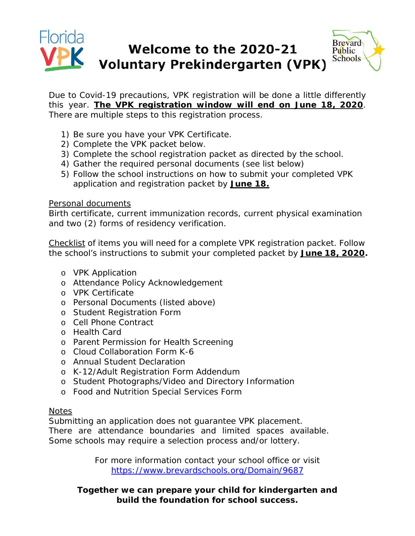#### Florida **Brevard** Welcome to the 2020-21 Public **Schools Voluntary Prekindergarten (VPK)**

Due to Covid-19 precautions, VPK registration will be done a little differently this year. **The VPK registration window will end on June 18, 2020**. There are multiple steps to this registration process.

- 1) Be sure you have your VPK Certificate.
- 2) Complete the VPK packet below.
- 3) Complete the school registration packet as directed by the school.
- 4) Gather the required personal documents (see list below)
- 5) Follow the school instructions on how to submit your completed VPK application and registration packet by **June 18.**

### Personal documents

Birth certificate, current immunization records, current physical examination and two (2) forms of residency verification.

Checklist of items you will need for a complete VPK registration packet. Follow the school's instructions to submit your completed packet by **June 18, 2020.**

- o VPK Application
- o Attendance Policy Acknowledgement
- o VPK Certificate
- o Personal Documents (listed above)
- o Student Registration Form
- o Cell Phone Contract
- o Health Card
- o Parent Permission for Health Screening
- o Cloud Collaboration Form K-6
- o Annual Student Declaration
- o K-12/Adult Registration Form Addendum
- o Student Photographs/Video and Directory Information
- o Food and Nutrition Special Services Form

## **Notes**

Submitting an application does not guarantee VPK placement.

There are attendance boundaries and limited spaces available. Some schools may require a selection process and/or lottery.

> For more information contact your school office or visit <https://www.brevardschools.org/Domain/9687>

## **Together we can prepare your child for kindergarten and build the foundation for school success.**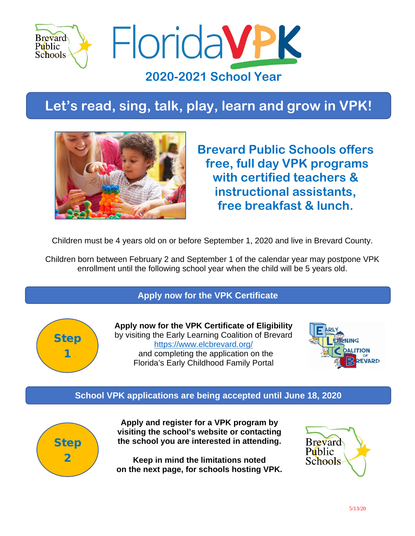

**Let's read, sing, talk, play, learn and grow in VPK!**



**Brevard Public Schools offers free, full day VPK programs with certified teachers & instructional assistants, free breakfast & lunch.**

Children must be 4 years old on or before September 1, 2020 and live in Brevard County.

Children born between February 2 and September 1 of the calendar year may postpone VPK enrollment until the following school year when the child will be 5 years old.

**Apply now for the VPK Certificate**



**Apply now for the VPK Certificate of Eligibility** by visiting the Early Learning Coalition of Brevard <https://www.elcbrevard.org/> and completing the application on the Florida's Early Childhood Family Portal



## **School VPK applications are being accepted until June 18, 2020**



**Apply and register for a VPK program by visiting the school's website or contacting the school you are interested in attending.** 

**Keep in mind the limitations noted on the next page, for schools hosting VPK.**

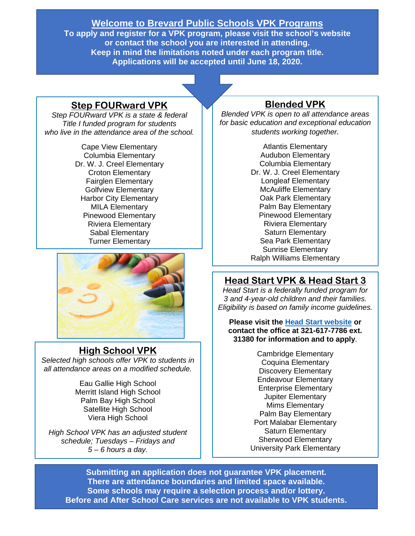## **Welcome to Brevard Public Schools VPK Programs**

**To apply and register for a VPK program, please visit the school's website or contact the school you are interested in attending. Keep in mind the limitations noted under each program title. Applications will be accepted until June 18, 2020.** 

## **Step FOURward VPK**

*Step FOURward VPK is a state & federal Title I funded program for students who live in the attendance area of the school.*

> Cape View Elementary Columbia Elementary Dr. W. J. Creel Elementary Croton Elementary Fairglen Elementary Golfview Elementary Harbor City Elementary MILA Elementary Pinewood Elementary Riviera Elementary Sabal Elementary Turner Elementary



## **High School VPK**

*Selected high schools offer VPK to students in all attendance areas on a modified schedule.* 

> Eau Gallie High School Merritt Island High School Palm Bay High School Satellite High School Viera High School

*High School VPK has an adjusted student schedule; Tuesdays – Fridays and 5 – 6 hours a day.* 

## **Blended VPK**

*Blended VPK is open to all attendance areas for basic education and exceptional education students working together.*

> Atlantis Elementary Audubon Elementary Columbia Elementary Dr. W. J. Creel Elementary Longleaf Elementary McAuliffe Elementary Oak Park Elementary Palm Bay Elementary Pinewood Elementary Riviera Elementary Saturn Elementary Sea Park Elementary Sunrise Elementary Ralph Williams Elementary

# **Head Start VPK & Head Start 3**

*Head Start is a federally funded program for 3 and 4-year-old children and their families. Eligibility is based on family income guidelines.*

**Please visit the [Head Start website](https://fl02201431.schoolwires.net/Page/3601) or contact the office at 321-617-7786 ext. 31380 for information and to apply**.

> Cambridge Elementary Coquina Elementary Discovery Elementary Endeavour Elementary Enterprise Elementary Jupiter Elementary Mims Elementary Palm Bay Elementary Port Malabar Elementary Saturn Elementary Sherwood Elementary University Park Elementary

**Submitting an application does not guarantee VPK placement. There are attendance boundaries and limited space available. Some schools may require a selection process and/or lottery. Before and After School Care services are not available to VPK students.**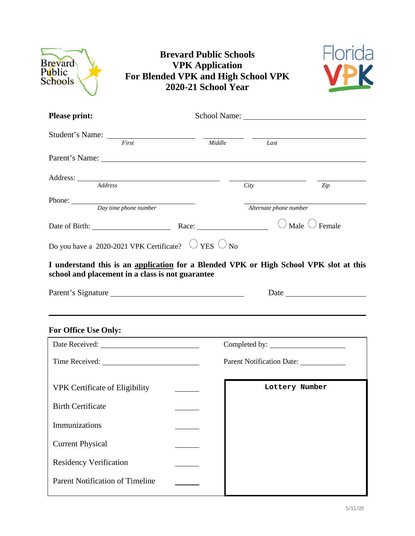| <b>Brevard</b><br>Public<br>Schools              | <b>Brevard Public Schools</b><br><b>VPK</b> Application<br>For Blended VPK and High School VPK<br>2020-21 School Year                                          |                           |     |
|--------------------------------------------------|----------------------------------------------------------------------------------------------------------------------------------------------------------------|---------------------------|-----|
| <b>Please print:</b>                             |                                                                                                                                                                |                           |     |
|                                                  | Student's Name: First Middle                                                                                                                                   | $\overline{L}$ ast        |     |
|                                                  |                                                                                                                                                                |                           |     |
|                                                  |                                                                                                                                                                | City                      | Zip |
| Phone: <u>Day time</u> phone number              |                                                                                                                                                                | Alternate phone number    |     |
|                                                  | Date of Birth: $\qquad \qquad$ Race: $\qquad \qquad$ Nale $\bigcirc$ Female                                                                                    |                           |     |
| school and placement in a class is not guarantee | Do you have a 2020-2021 VPK Certificate? $\bigcirc$ YES $\bigcirc$ No<br>I understand this is an application for a Blended VPK or High School VPK slot at this |                           |     |
|                                                  | Parent's Signature                                                                                                                                             |                           |     |
| <b>For Office Use Only:</b>                      |                                                                                                                                                                |                           |     |
|                                                  |                                                                                                                                                                |                           |     |
|                                                  |                                                                                                                                                                | Parent Notification Date: |     |
| <b>VPK Certificate of Eligibility</b>            |                                                                                                                                                                | Lottery Number            |     |
| <b>Birth Certificate</b>                         |                                                                                                                                                                |                           |     |
| Immunizations                                    |                                                                                                                                                                |                           |     |
| <b>Current Physical</b>                          |                                                                                                                                                                |                           |     |
| <b>Residency Verification</b>                    |                                                                                                                                                                |                           |     |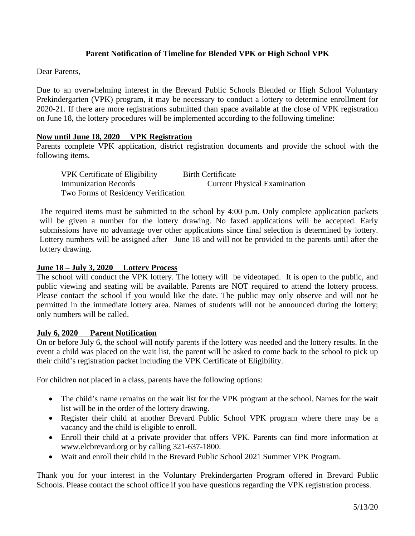### **Parent Notification of Timeline for Blended VPK or High School VPK**

Dear Parents,

Due to an overwhelming interest in the Brevard Public Schools Blended or High School Voluntary Prekindergarten (VPK) program, it may be necessary to conduct a lottery to determine enrollment for 2020-21. If there are more registrations submitted than space available at the close of VPK registration on June 18, the lottery procedures will be implemented according to the following timeline:

#### **Now until June 18, 2020 VPK Registration**

Parents complete VPK application, district registration documents and provide the school with the following items.

VPK Certificate of Eligibility Birth Certificate Immunization Records Current Physical Examination Two Forms of Residency Verification

The required items must be submitted to the school by 4:00 p.m. Only complete application packets will be given a number for the lottery drawing. No faxed applications will be accepted. Early submissions have no advantage over other applications since final selection is determined by lottery. Lottery numbers will be assigned after June 18 and will not be provided to the parents until after the lottery drawing.

#### **June 18 – July 3, 2020 Lottery Process**

The school will conduct the VPK lottery. The lottery will be videotaped. It is open to the public, and public viewing and seating will be available. Parents are NOT required to attend the lottery process. Please contact the school if you would like the date. The public may only observe and will not be permitted in the immediate lottery area. Names of students will not be announced during the lottery; only numbers will be called.

#### **July 6, 2020 Parent Notification**

On or before July 6, the school will notify parents if the lottery was needed and the lottery results. In the event a child was placed on the wait list, the parent will be asked to come back to the school to pick up their child's registration packet including the VPK Certificate of Eligibility.

For children not placed in a class, parents have the following options:

- The child's name remains on the wait list for the VPK program at the school. Names for the wait list will be in the order of the lottery drawing.
- Register their child at another Brevard Public School VPK program where there may be a vacancy and the child is eligible to enroll.
- Enroll their child at a private provider that offers VPK. Parents can find more information at [www.elcbrevard.org](http://www.elcbrevard.org/) or by calling 321-637-1800.
- Wait and enroll their child in the Brevard Public School 2021 Summer VPK Program.

Thank you for your interest in the Voluntary Prekindergarten Program offered in Brevard Public Schools. Please contact the school office if you have questions regarding the VPK registration process.